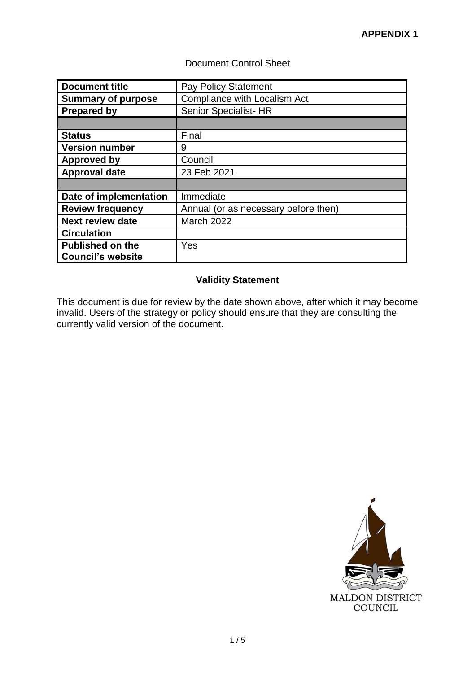# Document Control Sheet

| <b>Document title</b>     | <b>Pay Policy Statement</b>          |
|---------------------------|--------------------------------------|
| <b>Summary of purpose</b> | Compliance with Localism Act         |
| <b>Prepared by</b>        | Senior Specialist- HR                |
|                           |                                      |
| <b>Status</b>             | Final                                |
| <b>Version number</b>     | 9                                    |
| Approved by               | Council                              |
| <b>Approval date</b>      | 23 Feb 2021                          |
|                           |                                      |
| Date of implementation    | Immediate                            |
| <b>Review frequency</b>   | Annual (or as necessary before then) |
| <b>Next review date</b>   | <b>March 2022</b>                    |
| <b>Circulation</b>        |                                      |
| <b>Published on the</b>   | Yes                                  |
| <b>Council's website</b>  |                                      |

# **Validity Statement**

This document is due for review by the date shown above, after which it may become invalid. Users of the strategy or policy should ensure that they are consulting the currently valid version of the document.

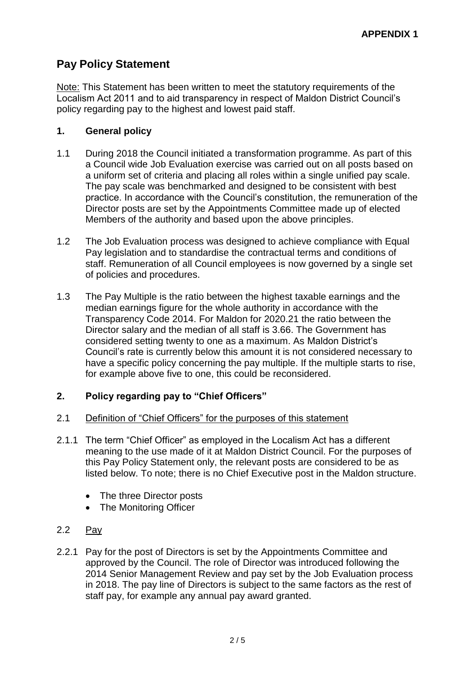# **Pay Policy Statement**

Note: This Statement has been written to meet the statutory requirements of the Localism Act 2011 and to aid transparency in respect of Maldon District Council's policy regarding pay to the highest and lowest paid staff.

## **1. General policy**

- 1.1 During 2018 the Council initiated a transformation programme. As part of this a Council wide Job Evaluation exercise was carried out on all posts based on a uniform set of criteria and placing all roles within a single unified pay scale. The pay scale was benchmarked and designed to be consistent with best practice. In accordance with the Council's constitution, the remuneration of the Director posts are set by the Appointments Committee made up of elected Members of the authority and based upon the above principles.
- 1.2 The Job Evaluation process was designed to achieve compliance with Equal Pay legislation and to standardise the contractual terms and conditions of staff. Remuneration of all Council employees is now governed by a single set of policies and procedures.
- 1.3 The Pay Multiple is the ratio between the highest taxable earnings and the median earnings figure for the whole authority in accordance with the Transparency Code 2014. For Maldon for 2020.21 the ratio between the Director salary and the median of all staff is 3.66. The Government has considered setting twenty to one as a maximum. As Maldon District's Council's rate is currently below this amount it is not considered necessary to have a specific policy concerning the pay multiple. If the multiple starts to rise, for example above five to one, this could be reconsidered.

# **2. Policy regarding pay to "Chief Officers"**

## 2.1 Definition of "Chief Officers" for the purposes of this statement

- 2.1.1 The term "Chief Officer" as employed in the Localism Act has a different meaning to the use made of it at Maldon District Council. For the purposes of this Pay Policy Statement only, the relevant posts are considered to be as listed below. To note; there is no Chief Executive post in the Maldon structure.
	- The three Director posts
	- The Monitoring Officer
- 2.2 Pay
- 2.2.1 Pay for the post of Directors is set by the Appointments Committee and approved by the Council. The role of Director was introduced following the 2014 Senior Management Review and pay set by the Job Evaluation process in 2018. The pay line of Directors is subject to the same factors as the rest of staff pay, for example any annual pay award granted.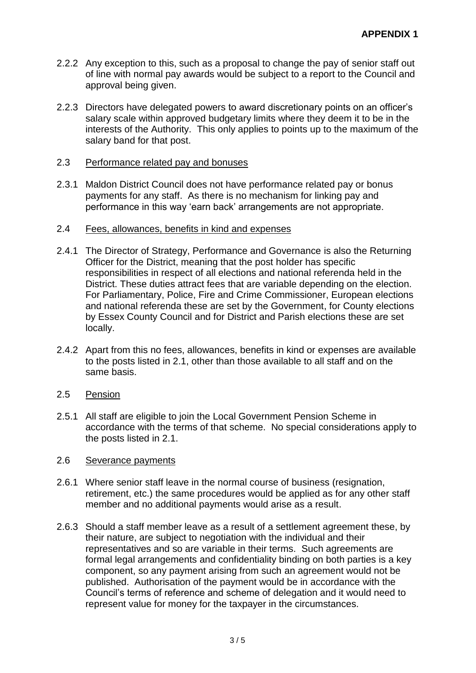- 2.2.2 Any exception to this, such as a proposal to change the pay of senior staff out of line with normal pay awards would be subject to a report to the Council and approval being given.
- 2.2.3 Directors have delegated powers to award discretionary points on an officer's salary scale within approved budgetary limits where they deem it to be in the interests of the Authority. This only applies to points up to the maximum of the salary band for that post.

## 2.3 Performance related pay and bonuses

2.3.1 Maldon District Council does not have performance related pay or bonus payments for any staff. As there is no mechanism for linking pay and performance in this way 'earn back' arrangements are not appropriate.

#### 2.4 Fees, allowances, benefits in kind and expenses

- 2.4.1 The Director of Strategy, Performance and Governance is also the Returning Officer for the District, meaning that the post holder has specific responsibilities in respect of all elections and national referenda held in the District. These duties attract fees that are variable depending on the election. For Parliamentary, Police, Fire and Crime Commissioner, European elections and national referenda these are set by the Government, for County elections by Essex County Council and for District and Parish elections these are set locally.
- 2.4.2 Apart from this no fees, allowances, benefits in kind or expenses are available to the posts listed in 2.1, other than those available to all staff and on the same basis.
- 2.5 Pension
- 2.5.1 All staff are eligible to join the Local Government Pension Scheme in accordance with the terms of that scheme. No special considerations apply to the posts listed in 2.1.

#### 2.6 Severance payments

- 2.6.1 Where senior staff leave in the normal course of business (resignation, retirement, etc.) the same procedures would be applied as for any other staff member and no additional payments would arise as a result.
- 2.6.3 Should a staff member leave as a result of a settlement agreement these, by their nature, are subject to negotiation with the individual and their representatives and so are variable in their terms. Such agreements are formal legal arrangements and confidentiality binding on both parties is a key component, so any payment arising from such an agreement would not be published. Authorisation of the payment would be in accordance with the Council's terms of reference and scheme of delegation and it would need to represent value for money for the taxpayer in the circumstances.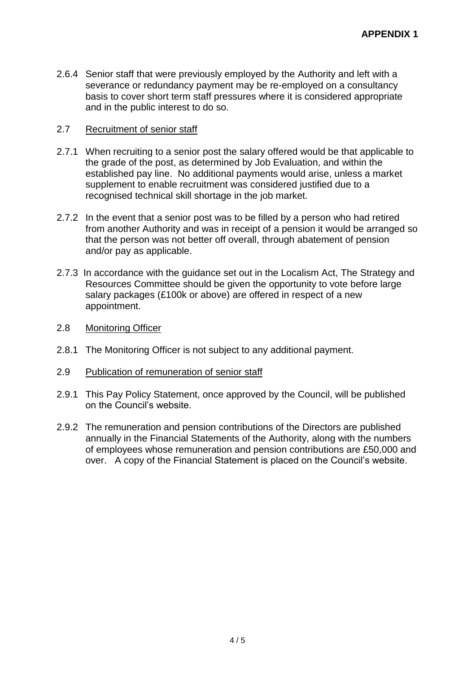2.6.4 Senior staff that were previously employed by the Authority and left with a severance or redundancy payment may be re-employed on a consultancy basis to cover short term staff pressures where it is considered appropriate and in the public interest to do so.

## 2.7 Recruitment of senior staff

- 2.7.1 When recruiting to a senior post the salary offered would be that applicable to the grade of the post, as determined by Job Evaluation, and within the established pay line. No additional payments would arise, unless a market supplement to enable recruitment was considered justified due to a recognised technical skill shortage in the job market.
- 2.7.2 In the event that a senior post was to be filled by a person who had retired from another Authority and was in receipt of a pension it would be arranged so that the person was not better off overall, through abatement of pension and/or pay as applicable.
- 2.7.3 In accordance with the guidance set out in the Localism Act, The Strategy and Resources Committee should be given the opportunity to vote before large salary packages (£100k or above) are offered in respect of a new appointment.
- 2.8 Monitoring Officer
- 2.8.1 The Monitoring Officer is not subject to any additional payment.
- 2.9 Publication of remuneration of senior staff
- 2.9.1 This Pay Policy Statement, once approved by the Council, will be published on the Council's website.
- 2.9.2 The remuneration and pension contributions of the Directors are published annually in the Financial Statements of the Authority, along with the numbers of employees whose remuneration and pension contributions are £50,000 and over. A copy of the Financial Statement is placed on the Council's website.